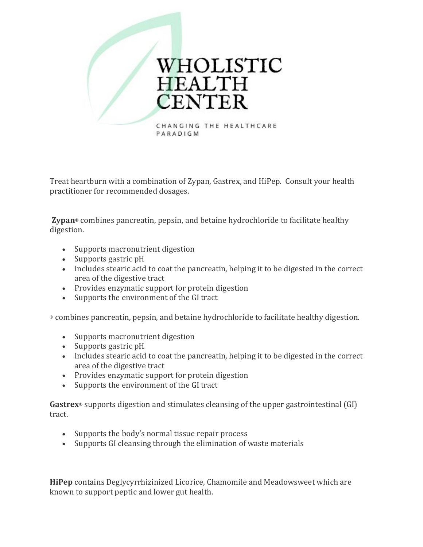

Treat heartburn with a combination of Zypan, Gastrex, and HiPep. Consult your health practitioner for recommended dosages.

**Zypan®** combines pancreatin, pepsin, and betaine hydrochloride to facilitate healthy digestion.

- Supports macronutrient digestion
- Supports gastric pH
- Includes stearic acid to coat the pancreatin, helping it to be digested in the correct area of the digestive tract
- Provides enzymatic support for protein digestion
- Supports the environment of the GI tract

® combines pancreatin, pepsin, and betaine hydrochloride to facilitate healthy digestion.

- Supports macronutrient digestion
- Supports gastric pH
- Includes stearic acid to coat the pancreatin, helping it to be digested in the correct area of the digestive tract
- Provides enzymatic support for protein digestion
- Supports the environment of the GI tract

**Gastrex®** supports digestion and stimulates cleansing of the upper gastrointestinal (GI) tract.

- Supports the body's normal tissue repair process
- Supports GI cleansing through the elimination of waste materials

**HiPep** contains Deglycyrrhizinized Licorice, Chamomile and Meadowsweet which are known to support peptic and lower gut health.